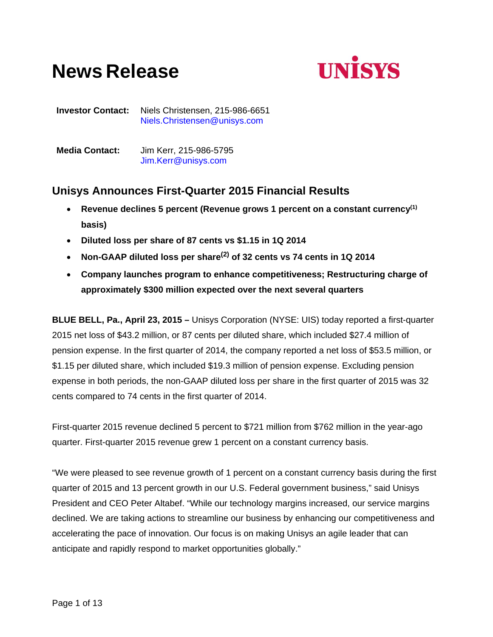# **News Release**



**Investor Contact:** Niels Christensen, 215-986-6651 Niels.Christensen@unisys.com

| <b>Media Contact:</b> | Jim Kerr, 215-986-5795 |
|-----------------------|------------------------|
|                       | Jim.Kerr@unisys.com    |

# **Unisys Announces First-Quarter 2015 Financial Results**

- **Revenue declines 5 percent (Revenue grows 1 percent on a constant currency(1) basis)**
- **Diluted loss per share of 87 cents vs \$1.15 in 1Q 2014**
- **Non-GAAP diluted loss per share(2) of 32 cents vs 74 cents in 1Q 2014**
- **Company launches program to enhance competitiveness; Restructuring charge of approximately \$300 million expected over the next several quarters**

**BLUE BELL, Pa., April 23, 2015 –** Unisys Corporation (NYSE: UIS) today reported a first-quarter 2015 net loss of \$43.2 million, or 87 cents per diluted share, which included \$27.4 million of pension expense. In the first quarter of 2014, the company reported a net loss of \$53.5 million, or \$1.15 per diluted share, which included \$19.3 million of pension expense. Excluding pension expense in both periods, the non-GAAP diluted loss per share in the first quarter of 2015 was 32 cents compared to 74 cents in the first quarter of 2014.

First-quarter 2015 revenue declined 5 percent to \$721 million from \$762 million in the year-ago quarter. First-quarter 2015 revenue grew 1 percent on a constant currency basis.

"We were pleased to see revenue growth of 1 percent on a constant currency basis during the first quarter of 2015 and 13 percent growth in our U.S. Federal government business," said Unisys President and CEO Peter Altabef. "While our technology margins increased, our service margins declined. We are taking actions to streamline our business by enhancing our competitiveness and accelerating the pace of innovation. Our focus is on making Unisys an agile leader that can anticipate and rapidly respond to market opportunities globally."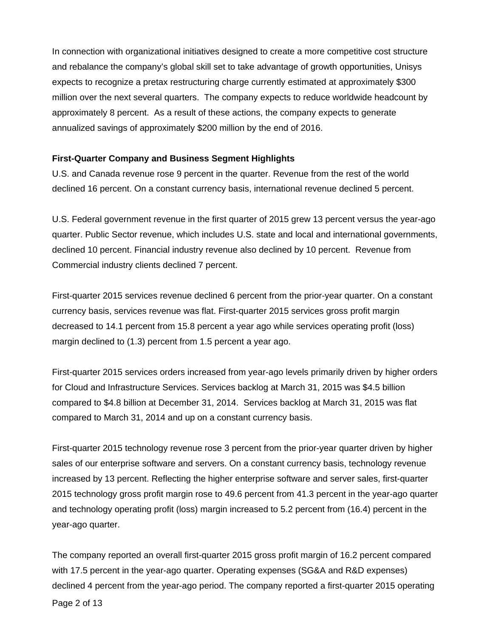In connection with organizational initiatives designed to create a more competitive cost structure and rebalance the company's global skill set to take advantage of growth opportunities, Unisys expects to recognize a pretax restructuring charge currently estimated at approximately \$300 million over the next several quarters. The company expects to reduce worldwide headcount by approximately 8 percent. As a result of these actions, the company expects to generate annualized savings of approximately \$200 million by the end of 2016.

# **First-Quarter Company and Business Segment Highlights**

U.S. and Canada revenue rose 9 percent in the quarter. Revenue from the rest of the world declined 16 percent. On a constant currency basis, international revenue declined 5 percent.

U.S. Federal government revenue in the first quarter of 2015 grew 13 percent versus the year-ago quarter. Public Sector revenue, which includes U.S. state and local and international governments, declined 10 percent. Financial industry revenue also declined by 10 percent. Revenue from Commercial industry clients declined 7 percent.

First-quarter 2015 services revenue declined 6 percent from the prior-year quarter. On a constant currency basis, services revenue was flat. First-quarter 2015 services gross profit margin decreased to 14.1 percent from 15.8 percent a year ago while services operating profit (loss) margin declined to (1.3) percent from 1.5 percent a year ago.

First-quarter 2015 services orders increased from year-ago levels primarily driven by higher orders for Cloud and Infrastructure Services. Services backlog at March 31, 2015 was \$4.5 billion compared to \$4.8 billion at December 31, 2014. Services backlog at March 31, 2015 was flat compared to March 31, 2014 and up on a constant currency basis.

First-quarter 2015 technology revenue rose 3 percent from the prior-year quarter driven by higher sales of our enterprise software and servers. On a constant currency basis, technology revenue increased by 13 percent. Reflecting the higher enterprise software and server sales, first-quarter 2015 technology gross profit margin rose to 49.6 percent from 41.3 percent in the year-ago quarter and technology operating profit (loss) margin increased to 5.2 percent from (16.4) percent in the year-ago quarter.

The company reported an overall first-quarter 2015 gross profit margin of 16.2 percent compared with 17.5 percent in the year-ago quarter. Operating expenses (SG&A and R&D expenses) declined 4 percent from the year-ago period. The company reported a first-quarter 2015 operating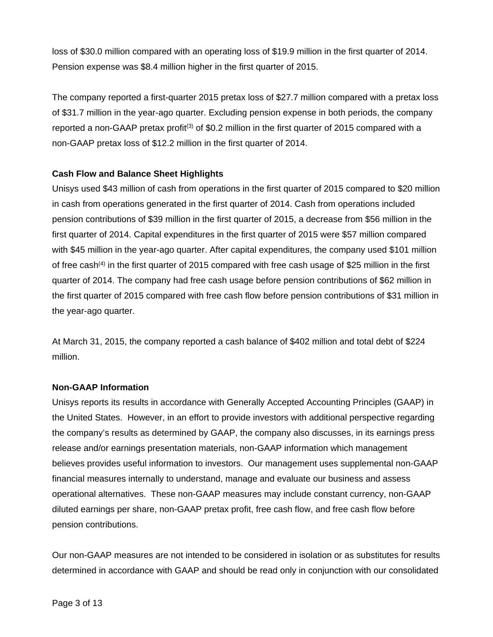loss of \$30.0 million compared with an operating loss of \$19.9 million in the first quarter of 2014. Pension expense was \$8.4 million higher in the first quarter of 2015.

The company reported a first-quarter 2015 pretax loss of \$27.7 million compared with a pretax loss of \$31.7 million in the year-ago quarter. Excluding pension expense in both periods, the company reported a non-GAAP pretax profit<sup>(3)</sup> of \$0.2 million in the first quarter of 2015 compared with a non-GAAP pretax loss of \$12.2 million in the first quarter of 2014.

# **Cash Flow and Balance Sheet Highlights**

Unisys used \$43 million of cash from operations in the first quarter of 2015 compared to \$20 million in cash from operations generated in the first quarter of 2014. Cash from operations included pension contributions of \$39 million in the first quarter of 2015, a decrease from \$56 million in the first quarter of 2014. Capital expenditures in the first quarter of 2015 were \$57 million compared with \$45 million in the year-ago quarter. After capital expenditures, the company used \$101 million of free cash<sup>(4)</sup> in the first quarter of 2015 compared with free cash usage of \$25 million in the first quarter of 2014. The company had free cash usage before pension contributions of \$62 million in the first quarter of 2015 compared with free cash flow before pension contributions of \$31 million in the year-ago quarter.

At March 31, 2015, the company reported a cash balance of \$402 million and total debt of \$224 million.

# **Non-GAAP Information**

Unisys reports its results in accordance with Generally Accepted Accounting Principles (GAAP) in the United States. However, in an effort to provide investors with additional perspective regarding the company's results as determined by GAAP, the company also discusses, in its earnings press release and/or earnings presentation materials, non-GAAP information which management believes provides useful information to investors. Our management uses supplemental non-GAAP financial measures internally to understand, manage and evaluate our business and assess operational alternatives. These non-GAAP measures may include constant currency, non-GAAP diluted earnings per share, non-GAAP pretax profit, free cash flow, and free cash flow before pension contributions.

Our non-GAAP measures are not intended to be considered in isolation or as substitutes for results determined in accordance with GAAP and should be read only in conjunction with our consolidated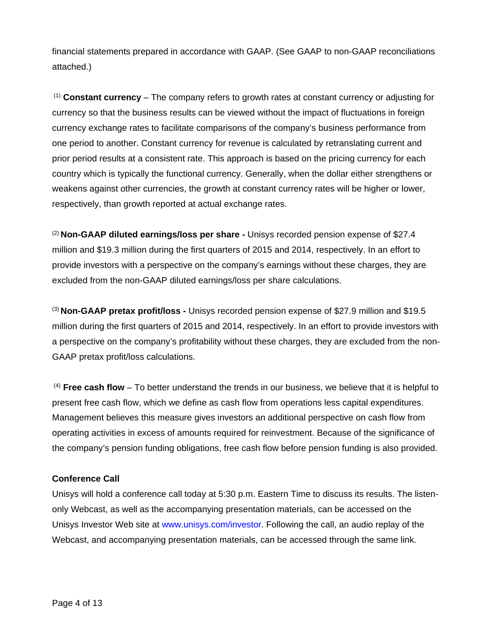financial statements prepared in accordance with GAAP. (See GAAP to non-GAAP reconciliations attached.)

 (1) **Constant currency** – The company refers to growth rates at constant currency or adjusting for currency so that the business results can be viewed without the impact of fluctuations in foreign currency exchange rates to facilitate comparisons of the company's business performance from one period to another. Constant currency for revenue is calculated by retranslating current and prior period results at a consistent rate. This approach is based on the pricing currency for each country which is typically the functional currency. Generally, when the dollar either strengthens or weakens against other currencies, the growth at constant currency rates will be higher or lower, respectively, than growth reported at actual exchange rates.

(2) **Non-GAAP diluted earnings/loss per share -** Unisys recorded pension expense of \$27.4 million and \$19.3 million during the first quarters of 2015 and 2014, respectively. In an effort to provide investors with a perspective on the company's earnings without these charges, they are excluded from the non-GAAP diluted earnings/loss per share calculations.

(3) **Non-GAAP pretax profit/loss -** Unisys recorded pension expense of \$27.9 million and \$19.5 million during the first quarters of 2015 and 2014, respectively. In an effort to provide investors with a perspective on the company's profitability without these charges, they are excluded from the non-GAAP pretax profit/loss calculations.

 (4) **Free cash flow** – To better understand the trends in our business, we believe that it is helpful to present free cash flow, which we define as cash flow from operations less capital expenditures. Management believes this measure gives investors an additional perspective on cash flow from operating activities in excess of amounts required for reinvestment. Because of the significance of the company's pension funding obligations, free cash flow before pension funding is also provided.

# **Conference Call**

Unisys will hold a conference call today at 5:30 p.m. Eastern Time to discuss its results. The listenonly Webcast, as well as the accompanying presentation materials, can be accessed on the Unisys Investor Web site at www.unisys.com/investor. Following the call, an audio replay of the Webcast, and accompanying presentation materials, can be accessed through the same link.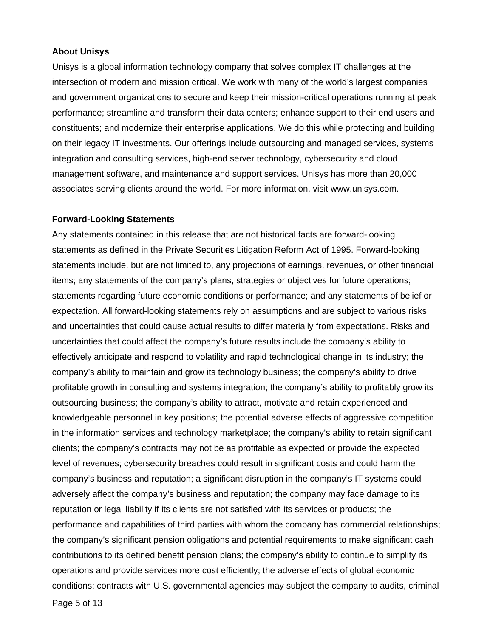### **About Unisys**

Unisys is a global information technology company that solves complex IT challenges at the intersection of modern and mission critical. We work with many of the world's largest companies and government organizations to secure and keep their mission-critical operations running at peak performance; streamline and transform their data centers; enhance support to their end users and constituents; and modernize their enterprise applications. We do this while protecting and building on their legacy IT investments. Our offerings include outsourcing and managed services, systems integration and consulting services, high-end server technology, cybersecurity and cloud management software, and maintenance and support services. Unisys has more than 20,000 associates serving clients around the world. For more information, visit www.unisys.com.

#### **Forward-Looking Statements**

Any statements contained in this release that are not historical facts are forward-looking statements as defined in the Private Securities Litigation Reform Act of 1995. Forward-looking statements include, but are not limited to, any projections of earnings, revenues, or other financial items; any statements of the company's plans, strategies or objectives for future operations; statements regarding future economic conditions or performance; and any statements of belief or expectation. All forward-looking statements rely on assumptions and are subject to various risks and uncertainties that could cause actual results to differ materially from expectations. Risks and uncertainties that could affect the company's future results include the company's ability to effectively anticipate and respond to volatility and rapid technological change in its industry; the company's ability to maintain and grow its technology business; the company's ability to drive profitable growth in consulting and systems integration; the company's ability to profitably grow its outsourcing business; the company's ability to attract, motivate and retain experienced and knowledgeable personnel in key positions; the potential adverse effects of aggressive competition in the information services and technology marketplace; the company's ability to retain significant clients; the company's contracts may not be as profitable as expected or provide the expected level of revenues; cybersecurity breaches could result in significant costs and could harm the company's business and reputation; a significant disruption in the company's IT systems could adversely affect the company's business and reputation; the company may face damage to its reputation or legal liability if its clients are not satisfied with its services or products; the performance and capabilities of third parties with whom the company has commercial relationships; the company's significant pension obligations and potential requirements to make significant cash contributions to its defined benefit pension plans; the company's ability to continue to simplify its operations and provide services more cost efficiently; the adverse effects of global economic conditions; contracts with U.S. governmental agencies may subject the company to audits, criminal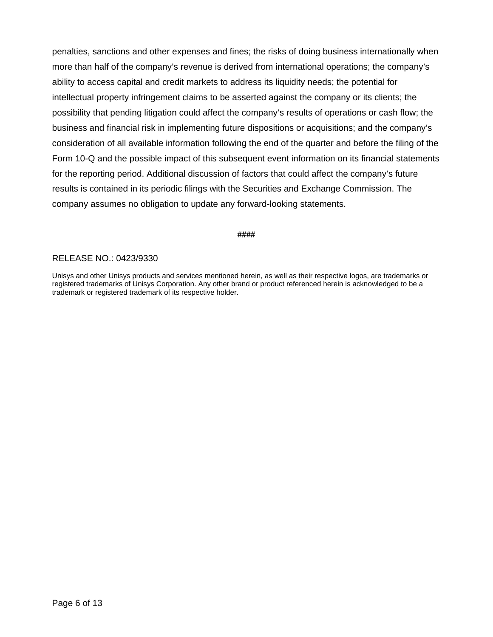penalties, sanctions and other expenses and fines; the risks of doing business internationally when more than half of the company's revenue is derived from international operations; the company's ability to access capital and credit markets to address its liquidity needs; the potential for intellectual property infringement claims to be asserted against the company or its clients; the possibility that pending litigation could affect the company's results of operations or cash flow; the business and financial risk in implementing future dispositions or acquisitions; and the company's consideration of all available information following the end of the quarter and before the filing of the Form 10-Q and the possible impact of this subsequent event information on its financial statements for the reporting period. Additional discussion of factors that could affect the company's future results is contained in its periodic filings with the Securities and Exchange Commission. The company assumes no obligation to update any forward-looking statements.

# **####**

# RELEASE NO.: 0423/9330

Unisys and other Unisys products and services mentioned herein, as well as their respective logos, are trademarks or registered trademarks of Unisys Corporation. Any other brand or product referenced herein is acknowledged to be a trademark or registered trademark of its respective holder.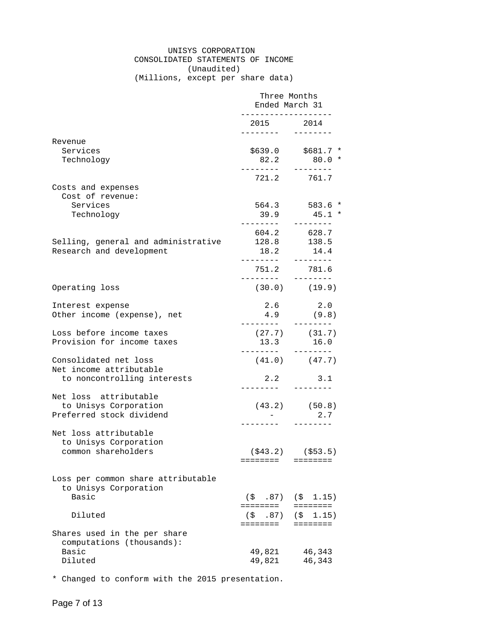# UNISYS CORPORATION CONSOLIDATED STATEMENTS OF INCOME (Unaudited)

(Millions, except per share data)

|                                                                                 | Three Months<br>Ended March 31<br>. _ _ _ _ _ _ _ _ _ _ _ _ _ _ _ _ _ _ |                                                             |  |
|---------------------------------------------------------------------------------|-------------------------------------------------------------------------|-------------------------------------------------------------|--|
|                                                                                 | 2015 2014<br>_________                                                  |                                                             |  |
| Revenue<br>Services<br>Technology                                               | 82.2                                                                    | $$639.0$ $$681.7$ *<br>$80.0*$<br><u> 22222222</u>          |  |
| Costs and expenses<br>Cost of revenue:                                          |                                                                         | 721.2 761.7                                                 |  |
| Services<br>Technology                                                          |                                                                         | 564.3 583.6 *<br>$39.9$ $45.1$ *                            |  |
| Selling, general and administrative<br>Research and development                 | 604.2<br>128.8<br>18.2<br>________                                      | 628.7<br>138.5<br>14.4<br>---------                         |  |
|                                                                                 | . <u>.</u>                                                              | 751.2 781.6<br>--------                                     |  |
| Operating loss                                                                  |                                                                         | $(30.0)$ $(19.9)$                                           |  |
| Interest expense<br>Other income (expense), net                                 | 2.6<br>4.9<br>________                                                  | 2.0<br>(9.8)<br>$- - - - - - - -$                           |  |
| Loss before income taxes<br>Provision for income taxes                          | 13.3                                                                    | $(27.7)$ $(31.7)$<br>16.0                                   |  |
| Consolidated net loss<br>Net income attributable<br>to noncontrolling interests |                                                                         | $(41.0)$ $(47.7)$<br>2.2 3.1                                |  |
| Net loss attributable<br>to Unisys Corporation<br>Preferred stock dividend      | $\sim$ $-$<br>- - - - - - - - <sup>-</sup> -                            | $(43.2)$ $(50.8)$<br>2.7<br>--------                        |  |
| Net loss attributable<br>to Unisys Corporation<br>common shareholders           | ========                                                                | $(\$43.2)$ $(\$53.5)$<br>========                           |  |
| Loss per common share attributable<br>to Unisys Corporation<br>Basic            |                                                                         |                                                             |  |
| Diluted                                                                         | ========                                                                | $(\$$ .87) $(\$$ 1.15)<br>========<br>$(5, 87)$ $(5, 1.15)$ |  |
| Shares used in the per share<br>computations (thousands):                       | ========                                                                | ========                                                    |  |
| Basic<br>Diluted                                                                | 49,821<br>49,821                                                        | 46,343<br>46,343                                            |  |

\* Changed to conform with the 2015 presentation.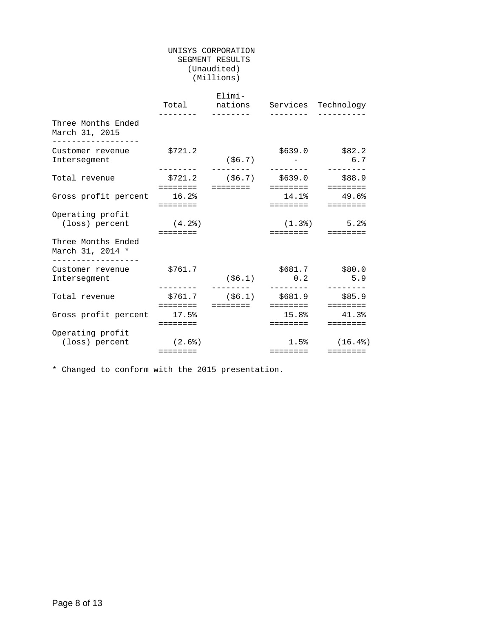#### UNISYS CORPORATION SEGMENT RESULTS (Unaudited) (Millions)

|                                                            |                                                                                          | Elimi-<br>Total nations Services Technology<br>-------- |          |                                                                                                  |
|------------------------------------------------------------|------------------------------------------------------------------------------------------|---------------------------------------------------------|----------|--------------------------------------------------------------------------------------------------|
| Three Months Ended<br>March 31, 2015<br>__________________ |                                                                                          |                                                         |          |                                                                                                  |
| Customer revenue<br>Intersegment                           | \$721.2                                                                                  | (\$6.7)                                                 |          | $$639.0$ $$82.2$<br>6.7                                                                          |
| Total revenue                                              | ========                                                                                 | $$721.2$ (\$6.7) $$639.0$ \$88.9<br>========            | ======== | $=$ = = = = = = =                                                                                |
| Gross profit percent 16.2%                                 | ========                                                                                 |                                                         | ======== | $14.1%$ $49.6%$<br>$=$ = = = = = = =                                                             |
| Operating profit<br>(loss) percent                         | (4.2)<br>$\begin{array}{cccccccccccccc} = & = & = & = & = & = & = & = & = & \end{array}$ |                                                         |          | $(1.3)$ 5.2%                                                                                     |
| Three Months Ended<br>March 31, 2014 *                     |                                                                                          |                                                         |          |                                                                                                  |
| -----------------<br>Customer revenue<br>Intersegment      | \$761.7                                                                                  | ( \$6.1)                                                | 0.2      | \$681.7 \$80.0<br>5.9                                                                            |
| Total revenue                                              | \$761.7                                                                                  | $(56.1)$ \$681.9 \$85.9<br>========                     | ======== | $=$ = = = = = = =                                                                                |
| Gross profit percent 17.5%                                 | $=$ = = = = = = =                                                                        |                                                         | ======== | $15.8$ $41.3$<br>$\begin{array}{cccccccccccccc} = & = & = & = & = & = & = & = & = & \end{array}$ |
| Operating profit<br>(loss) percent                         | (2.6)<br>========                                                                        |                                                         | ======== | $1.5%$ (16.4%)                                                                                   |

\* Changed to conform with the 2015 presentation.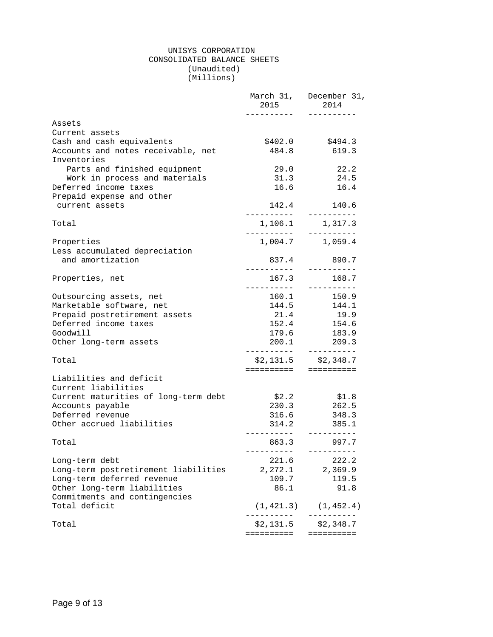#### UNISYS CORPORATION CONSOLIDATED BALANCE SHEETS (Unaudited) (Millions)

|                                                   | 2015                              | March 31, December 31,<br>2014                 |
|---------------------------------------------------|-----------------------------------|------------------------------------------------|
| Assets                                            |                                   |                                                |
| Current assets                                    |                                   |                                                |
| Cash and cash equivalents                         | \$402.0                           | \$494.3                                        |
| Accounts and notes receivable, net<br>Inventories | 484.8                             | 619.3                                          |
| Parts and finished equipment                      | 29.0                              | 22.2                                           |
| Work in process and materials                     | 31.3                              | 24.5                                           |
| Deferred income taxes                             |                                   | 16.6 16.4                                      |
| Prepaid expense and other                         |                                   |                                                |
| current assets                                    | 142.4<br>____________             | 140.6<br>----------                            |
| Total                                             |                                   | 1,106.1 1,317.3                                |
| Properties                                        | -----------                       | 1,004.7 1,059.4                                |
| Less accumulated depreciation                     |                                   |                                                |
| and amortization                                  | 837.4                             | 890.7<br>-----------                           |
| Properties, net                                   | 167.3<br>-----------              | 168.7<br>$- - - - - - - - - - - -$             |
| Outsourcing assets, net                           | 160.1                             | 150.9                                          |
| Marketable software, net                          | 144.5                             | 144.1                                          |
| Prepaid postretirement assets                     | 21.4                              | 19.9                                           |
| Deferred income taxes                             | 152.4                             | 154.6                                          |
| Goodwill                                          | 179.6                             | 183.9                                          |
| Other long-term assets                            | 200.1                             | 209.3                                          |
| Total                                             |                                   | $$2,131.5$ $$2,348.7$<br>===================== |
| Liabilities and deficit<br>Current liabilities    |                                   |                                                |
| Current maturities of long-term debt              | \$2.2                             | \$1.8                                          |
| Accounts payable                                  | 230.3                             | 262.5                                          |
| Deferred revenue                                  | 316.6                             | 348.3                                          |
| Other accrued liabilities                         | 314.2                             | 385.1                                          |
|                                                   | . <u>.</u>                        | $- - - - - - - - - -$                          |
| Total                                             | 863.3<br>-----------              | 997.7<br>----------                            |
| Long-term debt                                    | 221.6                             | 222.2                                          |
| Long-term postretirement liabilities              | 2,272.1                           | 2,369.9                                        |
| Long-term deferred revenue                        | 109.7                             | 119.5                                          |
| Other long-term liabilities                       | 86.1                              | 91.8                                           |
| Commitments and contingencies                     |                                   |                                                |
| Total deficit                                     | (1, 421.3)<br>- - - - - - - - - - | (1, 452.4)<br>. <u>.</u>                       |
| Total                                             | \$2,131.5                         | \$2,348.7                                      |
|                                                   | ==========                        | ==========                                     |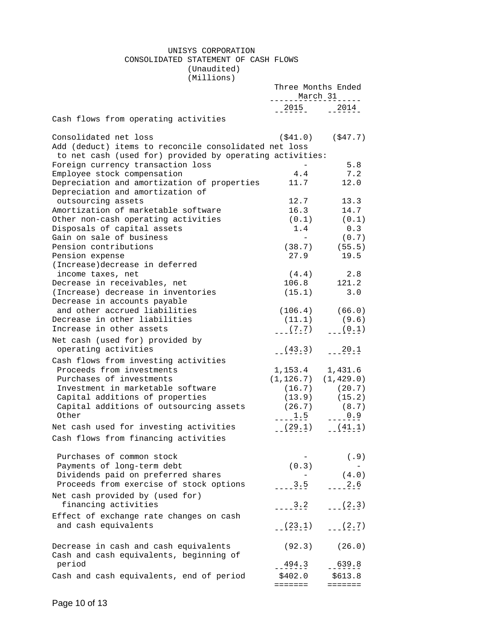#### UNISYS CORPORATION CONSOLIDATED STATEMENT OF CASH FLOWS (Unaudited)

(Millions)

|                                                                                                                                            | Three Months Ended<br>March 31 |                        |
|--------------------------------------------------------------------------------------------------------------------------------------------|--------------------------------|------------------------|
|                                                                                                                                            | $-2015 - 2014$                 |                        |
| Cash flows from operating activities                                                                                                       |                                |                        |
| Consolidated net loss<br>Add (deduct) items to reconcile consolidated net loss<br>to net cash (used for) provided by operating activities: | ( \$41.0)                      | ( \$47.7)              |
| Foreign currency transaction loss                                                                                                          |                                | 5.8                    |
| Employee stock compensation                                                                                                                | 4.4                            | 7.2                    |
| Depreciation and amortization of properties<br>Depreciation and amortization of                                                            | 11.7                           | 12.0                   |
| outsourcing assets                                                                                                                         | 12.7                           | 13.3                   |
| Amortization of marketable software                                                                                                        | 16.3                           | 14.7                   |
| Other non-cash operating activities                                                                                                        | (0.1)                          | (0.1)                  |
| Disposals of capital assets                                                                                                                | 1.4                            | 0.3                    |
| Gain on sale of business                                                                                                                   | $\sim$                         | (0.7)                  |
| Pension contributions                                                                                                                      |                                | $(38.7)$ $(55.5)$      |
| Pension expense<br>(Increase)decrease in deferred                                                                                          | 27.9                           | 19.5                   |
| income taxes, net                                                                                                                          | (4.4)                          | 2.8                    |
| Decrease in receivables, net                                                                                                               | 106.8                          | 121.2                  |
| (Increase) decrease in inventories                                                                                                         | (15.1)                         | 3.0                    |
| Decrease in accounts payable                                                                                                               |                                |                        |
| and other accrued liabilities                                                                                                              |                                | $(106.4)$ (66.0)       |
| Decrease in other liabilities                                                                                                              | (11.1)                         | (9.6)                  |
| Increase in other assets                                                                                                                   | $---(7.7)$ $---(0.1)$          |                        |
| Net cash (used for) provided by<br>operating activities                                                                                    | $(-19.3 \cdot 3)$              | $- - - \frac{20}{1}$ . |
| Cash flows from investing activities                                                                                                       |                                |                        |
| Proceeds from investments                                                                                                                  | 1, 153.4 1, 431.6              |                        |
| Purchases of investments                                                                                                                   | $(1, 126.7)$ $(1, 429.0)$      |                        |
| Investment in marketable software                                                                                                          |                                | (20.7)                 |
| Capital additions of properties                                                                                                            | $(16.7)$<br>$(13.9)$           | (15.2)                 |
| Capital additions of outsourcing assets                                                                                                    | $(26.7)$ $(8.7)$               |                        |
| Other                                                                                                                                      | $---1.5$                       | $--- 0.9$              |
| Net cash used for investing activities                                                                                                     | (29.1)                         | $ (41.1)$              |
| Cash flows from financing activities                                                                                                       |                                |                        |
| Purchases of common stock                                                                                                                  |                                | (.9)                   |
| Payments of long-term debt                                                                                                                 | (0.3)                          |                        |
| Dividends paid on preferred shares                                                                                                         |                                | (4.0)                  |
| Proceeds from exercise of stock options                                                                                                    | 3.5                            | 2.6                    |
| Net cash provided by (used for)<br>financing activities                                                                                    | $-2.2$                         | $-(-(2,3))$            |
| Effect of exchange rate changes on cash                                                                                                    |                                |                        |
| and cash equivalents                                                                                                                       | (23.1)                         | $-(-(2, 7))$           |
| Decrease in cash and cash equivalents<br>Cash and cash equivalents, beginning of                                                           | (92.3)                         | (26.0)                 |
| period                                                                                                                                     | $-494.3$                       | $-639.8$               |
| Cash and cash equivalents, end of period                                                                                                   | \$402.0                        | \$613.8                |
|                                                                                                                                            | =======                        | =======                |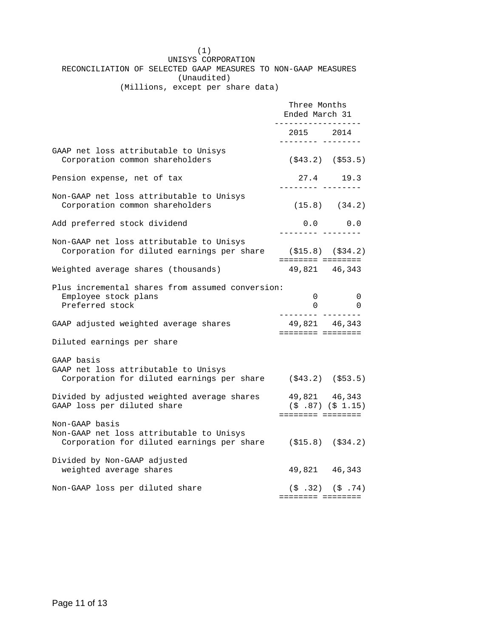(1) UNISYS CORPORATION RECONCILIATION OF SELECTED GAAP MEASURES TO NON-GAAP MEASURES (Unaudited)

(Millions, except per share data)

|                                                                                                                            | Three Months<br>Ended March 31<br>----------------- |                                                   |
|----------------------------------------------------------------------------------------------------------------------------|-----------------------------------------------------|---------------------------------------------------|
|                                                                                                                            | 2015 2014<br>_________ _______                      |                                                   |
| GAAP net loss attributable to Unisys<br>Corporation common shareholders                                                    |                                                     | $( $43.2)$ $ ($53.5)$                             |
| Pension expense, net of tax                                                                                                | --------- ----                                      | 27.4 19.3                                         |
| Non-GAAP net loss attributable to Unisys<br>Corporation common shareholders                                                | $(15.8)$ $(34.2)$                                   |                                                   |
| Add preferred stock dividend                                                                                               | _________ ________                                  | 0.0 0.0                                           |
| Non-GAAP net loss attributable to Unisys<br>Corporation for diluted earnings per share                                     | $( $15.8)$ $ ($34.2)$<br>======== ========          |                                                   |
| Weighted average shares (thousands)                                                                                        | 49,821 46,343                                       |                                                   |
| Plus incremental shares from assumed conversion:<br>Employee stock plans<br>Preferred stock                                | <u>_________</u> ________                           | $\overline{0}$<br>0<br>$\overline{0}$<br>$\Omega$ |
| GAAP adjusted weighted average shares                                                                                      | 49,821 46,343<br>======== ========                  |                                                   |
| Diluted earnings per share                                                                                                 |                                                     |                                                   |
| GAAP basis<br>GAAP net loss attributable to Unisys<br>Corporation for diluted earnings per share                           | $($ \$43.2) (\$53.5)                                |                                                   |
| Divided by adjusted weighted average shares<br>GAAP loss per diluted share                                                 | 49,821 46,343<br>======== ========                  | $($ \$ .87) $($ \$ 1.15)                          |
| Non-GAAP basis<br>Non-GAAP net loss attributable to Unisys<br>Corporation for diluted earnings per share (\$15.8) (\$34.2) |                                                     |                                                   |
| Divided by Non-GAAP adjusted<br>weighted average shares                                                                    | 49,821 46,343                                       |                                                   |
| Non-GAAP loss per diluted share                                                                                            | ======== ========                                   | $(5.32)$ $(5.74)$                                 |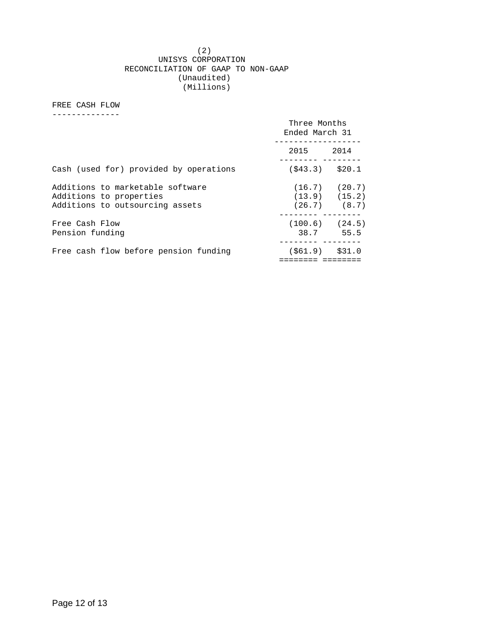#### (2) UNISYS CORPORATION RECONCILIATION OF GAAP TO NON-GAAP (Unaudited) (Millions)

#### FREE CASH FLOW

--------------

|                                                                                                | Three Months<br>Ended March 31 |                                                            |
|------------------------------------------------------------------------------------------------|--------------------------------|------------------------------------------------------------|
|                                                                                                | 2015 2014                      |                                                            |
| Cash (used for) provided by operations                                                         | $($ \$43.3) \$20.1             |                                                            |
| Additions to marketable software<br>Additions to properties<br>Additions to outsourcing assets |                                | $(16.7)$ $(20.7)$<br>$(13.9)$ $(15.2)$<br>$(26.7)$ $(8.7)$ |
| Free Cash Flow<br>Pension funding                                                              | $(100.6)$ $(24.5)$             | 38.7 55.5                                                  |
| Free cash flow before pension funding                                                          | $(561.9)$ \$31.0               |                                                            |